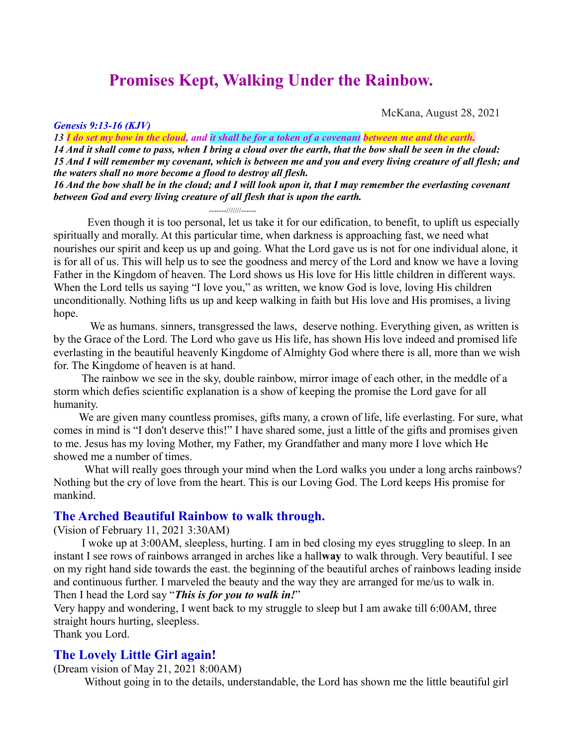# **Promises Kept, Walking Under the Rainbow.**

*Genesis 9:13-16 (KJV)*

McKana, August 28, 2021

*13 I do set my bow in the cloud, and it shall be for a token of a covenant between me and the earth. 14 And it shall come to pass, when I bring a cloud over the earth, that the bow shall be seen in the cloud: 15 And I will remember my covenant, which is between me and you and every living creature of all flesh; and the waters shall no more become a flood to destroy all flesh. 16 And the bow shall be in the cloud; and I will look upon it, that I may remember the everlasting covenant* 

*between God and every living creature of all flesh that is upon the earth.*

-------///////------

 Even though it is too personal, let us take it for our edification, to benefit, to uplift us especially spiritually and morally. At this particular time, when darkness is approaching fast, we need what nourishes our spirit and keep us up and going. What the Lord gave us is not for one individual alone, it is for all of us. This will help us to see the goodness and mercy of the Lord and know we have a loving Father in the Kingdom of heaven. The Lord shows us His love for His little children in different ways. When the Lord tells us saying "I love you," as written, we know God is love, loving His children unconditionally. Nothing lifts us up and keep walking in faith but His love and His promises, a living hope.

 We as humans. sinners, transgressed the laws, deserve nothing. Everything given, as written is by the Grace of the Lord. The Lord who gave us His life, has shown His love indeed and promised life everlasting in the beautiful heavenly Kingdome of Almighty God where there is all, more than we wish for. The Kingdome of heaven is at hand.

 The rainbow we see in the sky, double rainbow, mirror image of each other, in the meddle of a storm which defies scientific explanation is a show of keeping the promise the Lord gave for all humanity.

 We are given many countless promises, gifts many, a crown of life, life everlasting. For sure, what comes in mind is "I don't deserve this!" I have shared some, just a little of the gifts and promises given to me. Jesus has my loving Mother, my Father, my Grandfather and many more I love which He showed me a number of times.

What will really goes through your mind when the Lord walks you under a long archs rainbows? Nothing but the cry of love from the heart. This is our Loving God. The Lord keeps His promise for mankind.

#### **The Arched Beautiful Rainbow to walk through.**

(Vision of February 11, 2021 3:30AM)

 I woke up at 3:00AM, sleepless, hurting. I am in bed closing my eyes struggling to sleep. In an instant I see rows of rainbows arranged in arches like a hall**way** to walk through. Very beautiful. I see on my right hand side towards the east. the beginning of the beautiful arches of rainbows leading inside and continuous further. I marveled the beauty and the way they are arranged for me/us to walk in. Then I head the Lord say "*This is for you to walk in!*"

Very happy and wondering, I went back to my struggle to sleep but I am awake till 6:00AM, three straight hours hurting, sleepless.

Thank you Lord.

#### **The Lovely Little Girl again!**

(Dream vision of May 21, 2021 8:00AM)

Without going in to the details, understandable, the Lord has shown me the little beautiful girl